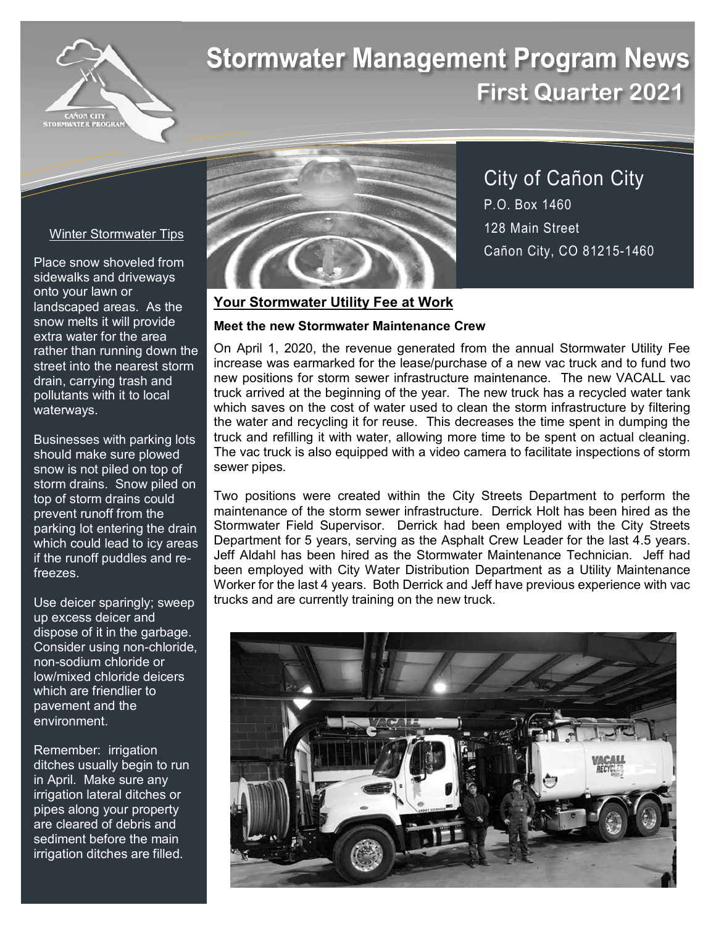

# **Stormwater Management Program News First Quarter 2021**

#### Winter Stormwater Tips

Place snow shoveled from sidewalks and driveways onto your lawn or landscaped areas. As the snow melts it will provide extra water for the area rather than running down the street into the nearest storm drain, carrying trash and pollutants with it to local waterways.

Businesses with parking lots should make sure plowed snow is not piled on top of storm drains. Snow piled on top of storm drains could prevent runoff from the parking lot entering the drain which could lead to icy areas if the runoff puddles and refreezes.

Use deicer sparingly; sweep up excess deicer and dispose of it in the garbage. Consider using non-chloride, non-sodium chloride or low/mixed chloride deicers which are friendlier to pavement and the environment.

Remember: irrigation ditches usually begin to run in April. Make sure any irrigation lateral ditches or pipes along your property are cleared of debris and sediment before the main irrigation ditches are filled.



City of Cañon City P.O. Box 1460 128 Main Street Cañon City, CO 81215-1460

### **Your Stormwater Utility Fee at Work**

#### **Meet the new Stormwater Maintenance Crew**

On April 1, 2020, the revenue generated from the annual Stormwater Utility Fee increase was earmarked for the lease/purchase of a new vac truck and to fund two new positions for storm sewer infrastructure maintenance. The new VACALL vac truck arrived at the beginning of the year. The new truck has a recycled water tank which saves on the cost of water used to clean the storm infrastructure by filtering the water and recycling it for reuse. This decreases the time spent in dumping the truck and refilling it with water, allowing more time to be spent on actual cleaning. The vac truck is also equipped with a video camera to facilitate inspections of storm sewer pipes.

Two positions were created within the City Streets Department to perform the maintenance of the storm sewer infrastructure. Derrick Holt has been hired as the Stormwater Field Supervisor. Derrick had been employed with the City Streets Department for 5 years, serving as the Asphalt Crew Leader for the last 4.5 years. Jeff Aldahl has been hired as the Stormwater Maintenance Technician. Jeff had been employed with City Water Distribution Department as a Utility Maintenance Worker for the last 4 years. Both Derrick and Jeff have previous experience with vac trucks and are currently training on the new truck.